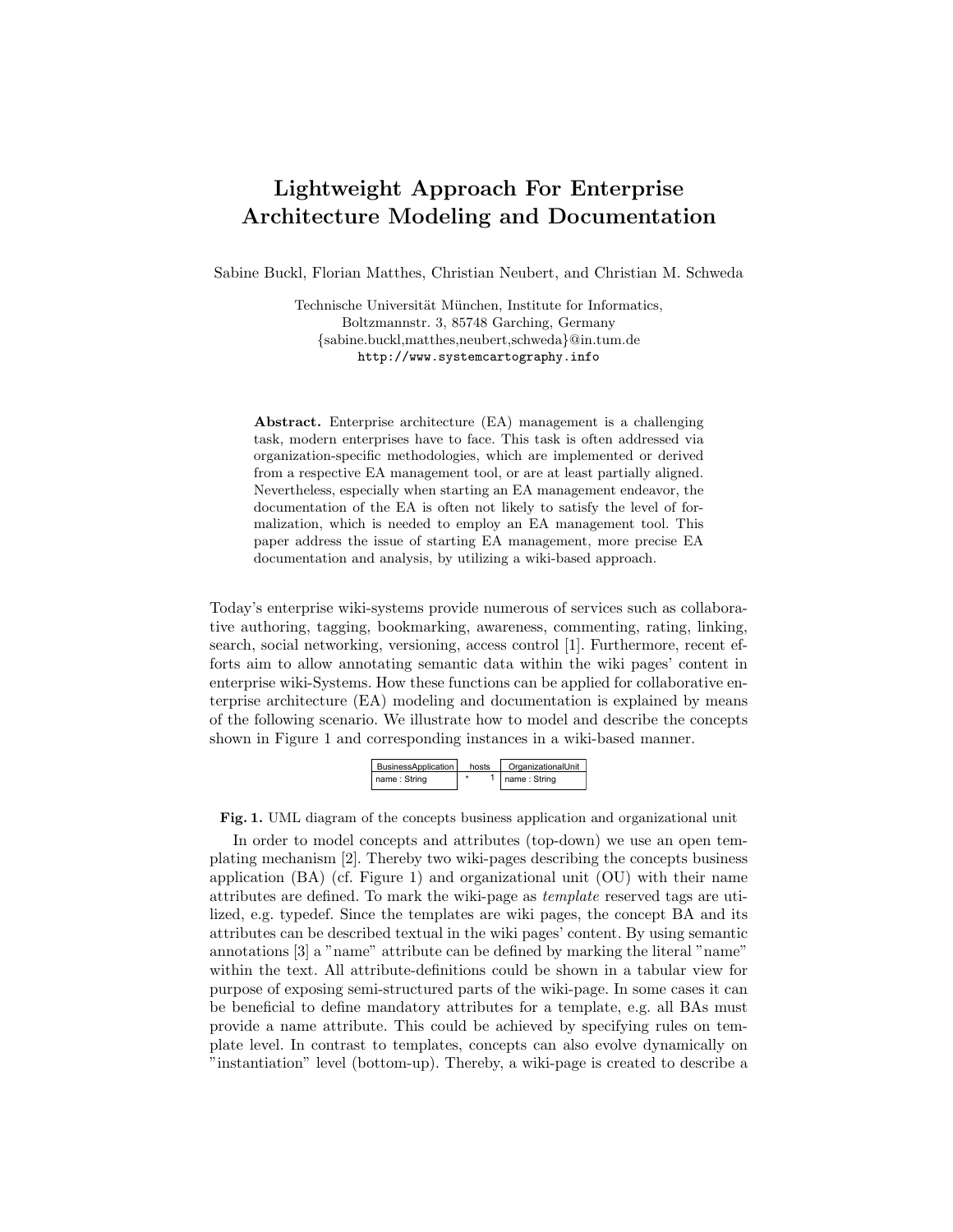## Lightweight Approach For Enterprise Architecture Modeling and Documentation

Sabine Buckl, Florian Matthes, Christian Neubert, and Christian M. Schweda

Technische Universität München, Institute for Informatics, Boltzmannstr. 3, 85748 Garching, Germany {sabine.buckl,matthes,neubert,schweda}@in.tum.de http://www.systemcartography.info

Abstract. Enterprise architecture (EA) management is a challenging task, modern enterprises have to face. This task is often addressed via organization-specific methodologies, which are implemented or derived from a respective EA management tool, or are at least partially aligned. Nevertheless, especially when starting an EA management endeavor, the documentation of the EA is often not likely to satisfy the level of formalization, which is needed to employ an EA management tool. This paper address the issue of starting EA management, more precise EA documentation and analysis, by utilizing a wiki-based approach.

Today's enterprise wiki-systems provide numerous of services such as collaborative authoring, tagging, bookmarking, awareness, commenting, rating, linking, search, social networking, versioning, access control [1]. Furthermore, recent efforts aim to allow annotating semantic data within the wiki pages' content in enterprise wiki-Systems. How these functions can be applied for collaborative enterprise architecture (EA) modeling and documentation is explained by means of the following scenario. We illustrate how to model and describe the concepts shown in Figure 1 and corresponding instances in a wiki-based manner.

| BusinessApplication | hosts | OrganizationalUnit |
|---------------------|-------|--------------------|
| name: String        |       | name: String       |

Fig. 1. UML diagram of the concepts business application and organizational unit

In order to model concepts and attributes (top-down) we use an open templating mechanism [2]. Thereby two wiki-pages describing the concepts business application (BA) (cf. Figure 1) and organizational unit (OU) with their name attributes are defined. To mark the wiki-page as template reserved tags are utilized, e.g. typedef. Since the templates are wiki pages, the concept BA and its attributes can be described textual in the wiki pages' content. By using semantic annotations [3] a "name" attribute can be defined by marking the literal "name" within the text. All attribute-definitions could be shown in a tabular view for purpose of exposing semi-structured parts of the wiki-page. In some cases it can be beneficial to define mandatory attributes for a template, e.g. all BAs must provide a name attribute. This could be achieved by specifying rules on template level. In contrast to templates, concepts can also evolve dynamically on "instantiation" level (bottom-up). Thereby, a wiki-page is created to describe a